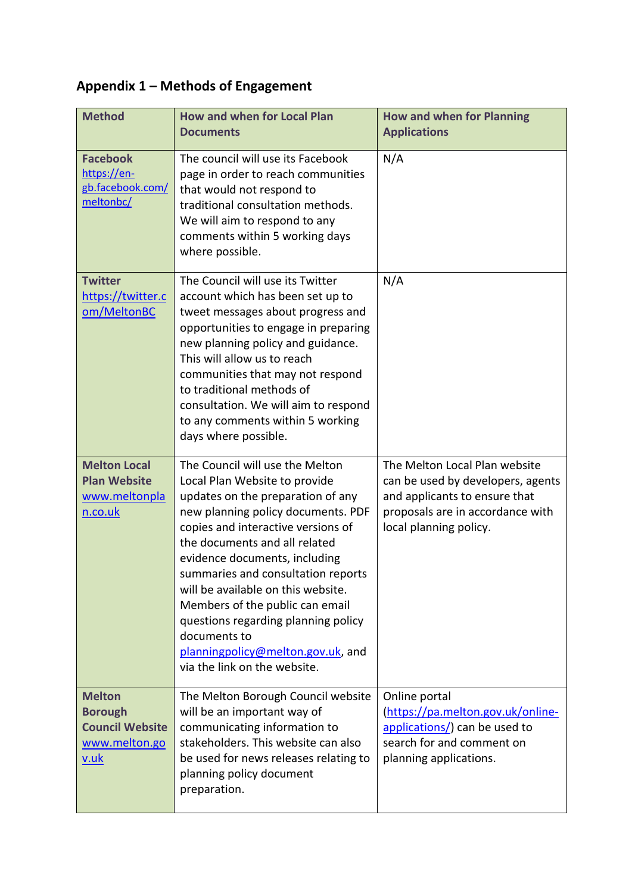# **Appendix 1 – Methods of Engagement**

| <b>Method</b>                                                                             | <b>How and when for Local Plan</b><br><b>Documents</b>                                                                                                                                                                                                                                                                                                                                                                                                                                         | <b>How and when for Planning</b><br><b>Applications</b>                                                                                                           |
|-------------------------------------------------------------------------------------------|------------------------------------------------------------------------------------------------------------------------------------------------------------------------------------------------------------------------------------------------------------------------------------------------------------------------------------------------------------------------------------------------------------------------------------------------------------------------------------------------|-------------------------------------------------------------------------------------------------------------------------------------------------------------------|
| <b>Facebook</b><br>https://en-<br>gb.facebook.com/<br>meltonbc/                           | The council will use its Facebook<br>page in order to reach communities<br>that would not respond to<br>traditional consultation methods.<br>We will aim to respond to any<br>comments within 5 working days<br>where possible.                                                                                                                                                                                                                                                                | N/A                                                                                                                                                               |
| <b>Twitter</b><br>https://twitter.c<br>om/MeltonBC                                        | The Council will use its Twitter<br>account which has been set up to<br>tweet messages about progress and<br>opportunities to engage in preparing<br>new planning policy and guidance.<br>This will allow us to reach<br>communities that may not respond<br>to traditional methods of<br>consultation. We will aim to respond<br>to any comments within 5 working<br>days where possible.                                                                                                     | N/A                                                                                                                                                               |
| <b>Melton Local</b><br><b>Plan Website</b><br>www.meltonpla<br><u>n.co.uk</u>             | The Council will use the Melton<br>Local Plan Website to provide<br>updates on the preparation of any<br>new planning policy documents. PDF<br>copies and interactive versions of<br>the documents and all related<br>evidence documents, including<br>summaries and consultation reports<br>will be available on this website.<br>Members of the public can email<br>questions regarding planning policy<br>documents to<br>planningpolicy@melton.gov.uk, and<br>via the link on the website. | The Melton Local Plan website<br>can be used by developers, agents<br>and applicants to ensure that<br>proposals are in accordance with<br>local planning policy. |
| <b>Melton</b><br><b>Borough</b><br><b>Council Website</b><br>www.melton.go<br><u>v.uk</u> | The Melton Borough Council website<br>will be an important way of<br>communicating information to<br>stakeholders. This website can also<br>be used for news releases relating to<br>planning policy document<br>preparation.                                                                                                                                                                                                                                                                  | Online portal<br>(https://pa.melton.gov.uk/online-<br>applications/) can be used to<br>search for and comment on<br>planning applications.                        |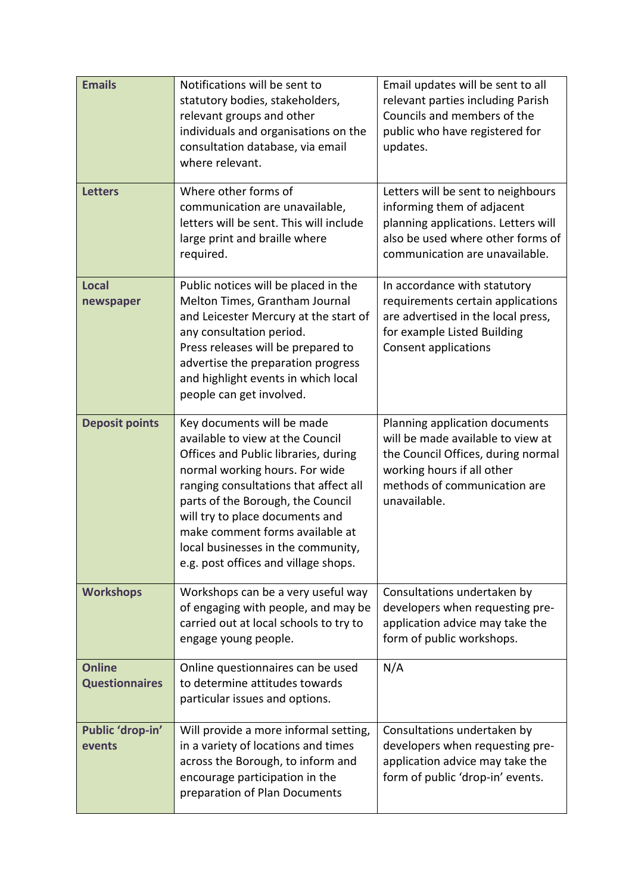| <b>Emails</b>                          | Notifications will be sent to<br>statutory bodies, stakeholders,<br>relevant groups and other<br>individuals and organisations on the<br>consultation database, via email<br>where relevant.                                                                                                                                                                               | Email updates will be sent to all<br>relevant parties including Parish<br>Councils and members of the<br>public who have registered for<br>updates.                                     |
|----------------------------------------|----------------------------------------------------------------------------------------------------------------------------------------------------------------------------------------------------------------------------------------------------------------------------------------------------------------------------------------------------------------------------|-----------------------------------------------------------------------------------------------------------------------------------------------------------------------------------------|
| <b>Letters</b>                         | Where other forms of<br>communication are unavailable,<br>letters will be sent. This will include<br>large print and braille where<br>required.                                                                                                                                                                                                                            | Letters will be sent to neighbours<br>informing them of adjacent<br>planning applications. Letters will<br>also be used where other forms of<br>communication are unavailable.          |
| <b>Local</b><br>newspaper              | Public notices will be placed in the<br>Melton Times, Grantham Journal<br>and Leicester Mercury at the start of<br>any consultation period.<br>Press releases will be prepared to<br>advertise the preparation progress<br>and highlight events in which local<br>people can get involved.                                                                                 | In accordance with statutory<br>requirements certain applications<br>are advertised in the local press,<br>for example Listed Building<br><b>Consent applications</b>                   |
| <b>Deposit points</b>                  | Key documents will be made<br>available to view at the Council<br>Offices and Public libraries, during<br>normal working hours. For wide<br>ranging consultations that affect all<br>parts of the Borough, the Council<br>will try to place documents and<br>make comment forms available at<br>local businesses in the community,<br>e.g. post offices and village shops. | Planning application documents<br>will be made available to view at<br>the Council Offices, during normal<br>working hours if all other<br>methods of communication are<br>unavailable. |
| <b>Workshops</b>                       | Workshops can be a very useful way<br>of engaging with people, and may be<br>carried out at local schools to try to<br>engage young people.                                                                                                                                                                                                                                | Consultations undertaken by<br>developers when requesting pre-<br>application advice may take the<br>form of public workshops.                                                          |
| <b>Online</b><br><b>Questionnaires</b> | Online questionnaires can be used<br>to determine attitudes towards<br>particular issues and options.                                                                                                                                                                                                                                                                      | N/A                                                                                                                                                                                     |
| Public 'drop-in'<br>events             | Will provide a more informal setting,<br>in a variety of locations and times<br>across the Borough, to inform and<br>encourage participation in the<br>preparation of Plan Documents                                                                                                                                                                                       | Consultations undertaken by<br>developers when requesting pre-<br>application advice may take the<br>form of public 'drop-in' events.                                                   |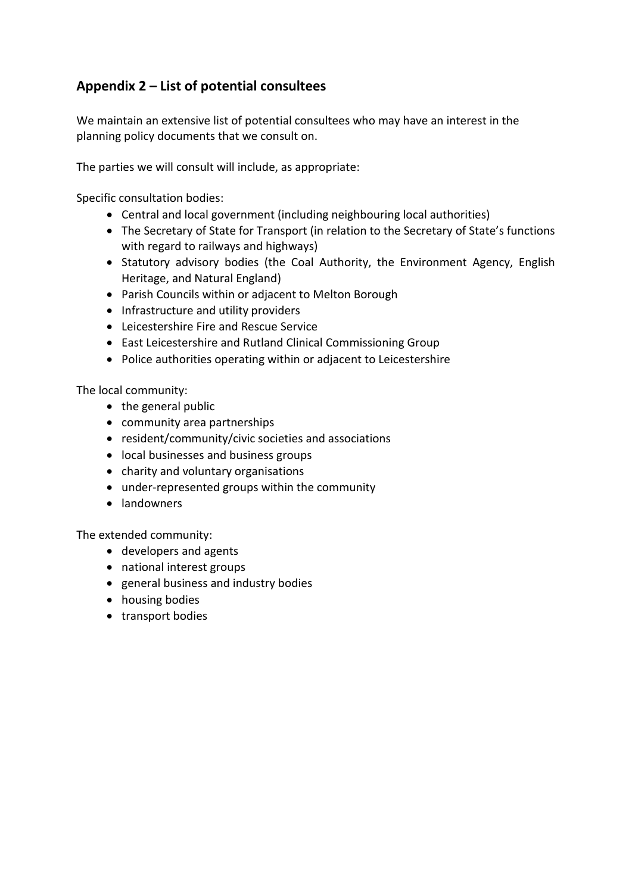# **Appendix 2 – List of potential consultees**

We maintain an extensive list of potential consultees who may have an interest in the planning policy documents that we consult on.

The parties we will consult will include, as appropriate:

Specific consultation bodies:

- Central and local government (including neighbouring local authorities)
- The Secretary of State for Transport (in relation to the Secretary of State's functions with regard to railways and highways)
- Statutory advisory bodies (the Coal Authority, the Environment Agency, English Heritage, and Natural England)
- Parish Councils within or adjacent to Melton Borough
- Infrastructure and utility providers
- Leicestershire Fire and Rescue Service
- East Leicestershire and Rutland Clinical Commissioning Group
- Police authorities operating within or adjacent to Leicestershire

The local community:

- $\bullet$  the general public
- community area partnerships
- resident/community/civic societies and associations
- local businesses and business groups
- charity and voluntary organisations
- under-represented groups within the community
- landowners

The extended community:

- developers and agents
- national interest groups
- general business and industry bodies
- housing bodies
- transport bodies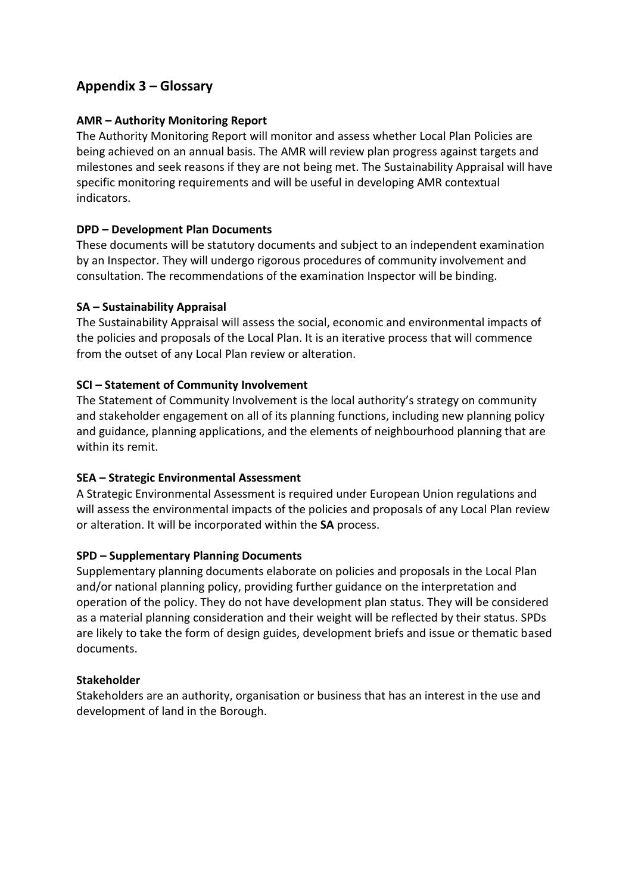# **Appendix 3 – Glossary**

### **AMR – Authority Monitoring Report**

The Authority Monitoring Report will monitor and assess whether Local Plan Policies are being achieved on an annual basis. The AMR will review plan progress against targets and milestones and seek reasons if they are not being met. The Sustainability Appraisal will have specific monitoring requirements and will be useful in developing AMR contextual indicators.

### **DPD – Development Plan Documents**

These documents will be statutory documents and subject to an independent examination by an Inspector. They will undergo rigorous procedures of community involvement and consultation. The recommendations of the examination Inspector will be binding.

### **SA – Sustainability Appraisal**

The Sustainability Appraisal will assess the social, economic and environmental impacts of the policies and proposals of the Local Plan. It is an iterative process that will commence from the outset of any Local Plan review or alteration.

### **SCI – Statement of Community Involvement**

The Statement of Community Involvement is the local authority's strategy on community and stakeholder engagement on all of its planning functions, including new planning policy and guidance, planning applications, and the elements of neighbourhood planning that are within its remit.

#### **SEA – Strategic Environmental Assessment**

A Strategic Environmental Assessment is required under European Union regulations and will assess the environmental impacts of the policies and proposals of any Local Plan review or alteration. It will be incorporated within the **SA** process.

#### **SPD – Supplementary Planning Documents**

Supplementary planning documents elaborate on policies and proposals in the Local Plan and/or national planning policy, providing further guidance on the interpretation and operation of the policy. They do not have development plan status. They will be considered as a material planning consideration and their weight will be reflected by their status. SPDs are likely to take the form of design guides, development briefs and issue or thematic based documents.

## **Stakeholder**

Stakeholders are an authority, organisation or business that has an interest in the use and development of land in the Borough.